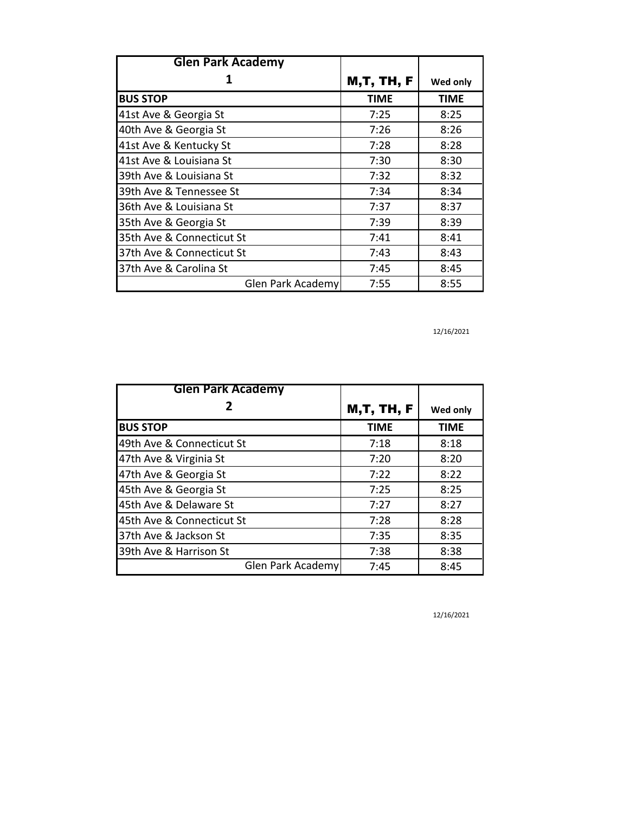| <b>Glen Park Academy</b>  |                   |             |
|---------------------------|-------------------|-------------|
|                           | <b>M,T, TH, F</b> | Wed only    |
| <b>BUS STOP</b>           | <b>TIME</b>       | <b>TIME</b> |
| 41st Ave & Georgia St     | 7:25              | 8:25        |
| 40th Ave & Georgia St     | 7:26              | 8:26        |
| 41st Ave & Kentucky St    | 7:28              | 8:28        |
| 41st Ave & Louisiana St   | 7:30              | 8:30        |
| 39th Ave & Louisiana St   | 7:32              | 8:32        |
| 39th Ave & Tennessee St   | 7:34              | 8:34        |
| 36th Ave & Louisiana St   | 7:37              | 8:37        |
| 35th Ave & Georgia St     | 7:39              | 8:39        |
| 35th Ave & Connecticut St | 7:41              | 8:41        |
| 37th Ave & Connecticut St | 7:43              | 8:43        |
| 37th Ave & Carolina St    | 7:45              | 8:45        |
| Glen Park Academy         | 7:55              | 8:55        |

12/16/2021

| <b>Glen Park Academy</b>  |                   |          |
|---------------------------|-------------------|----------|
| 2                         | <b>M,T, TH, F</b> | Wed only |
| <b>BUS STOP</b>           | <b>TIME</b>       | TIME     |
| 49th Ave & Connecticut St | 7:18              | 8:18     |
| 47th Ave & Virginia St    | 7:20              | 8:20     |
| 47th Ave & Georgia St     | 7:22              | 8:22     |
| 45th Ave & Georgia St     | 7:25              | 8:25     |
| 45th Ave & Delaware St    | 7:27              | 8:27     |
| 45th Ave & Connecticut St | 7:28              | 8:28     |
| 37th Ave & Jackson St     | 7:35              | 8:35     |
| 39th Ave & Harrison St    | 7:38              | 8:38     |
| Glen Park Academy         | 7:45              | 8:45     |

12/16/2021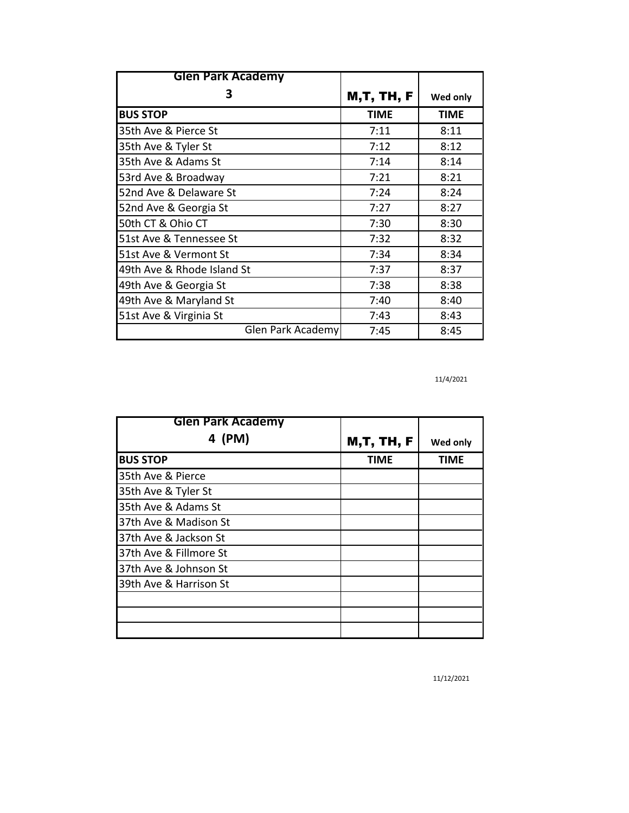| <b>Glen Park Academy</b>   |                   |             |
|----------------------------|-------------------|-------------|
| 3                          | <b>M,T, TH, F</b> | Wed only    |
| <b>BUS STOP</b>            | <b>TIME</b>       | <b>TIME</b> |
| 35th Ave & Pierce St       | 7:11              | 8:11        |
| 35th Ave & Tyler St        | 7:12              | 8:12        |
| 35th Ave & Adams St        | 7:14              | 8:14        |
| 53rd Ave & Broadway        | 7:21              | 8:21        |
| 52nd Ave & Delaware St     | 7:24              | 8:24        |
| 52nd Ave & Georgia St      | 7:27              | 8:27        |
| 50th CT & Ohio CT          | 7:30              | 8:30        |
| 51st Ave & Tennessee St    | 7:32              | 8:32        |
| 51st Ave & Vermont St      | 7:34              | 8:34        |
| 49th Ave & Rhode Island St | 7:37              | 8:37        |
| 49th Ave & Georgia St      | 7:38              | 8:38        |
| 49th Ave & Maryland St     | 7:40              | 8:40        |
| 51st Ave & Virginia St     | 7:43              | 8:43        |
| Glen Park Academy          | 7:45              | 8:45        |

11/4/2021

| <b>Glen Park Academy</b> |                   |             |
|--------------------------|-------------------|-------------|
| 4 (PM)                   | <b>M,T, TH, F</b> | Wed only    |
| <b>BUS STOP</b>          | <b>TIME</b>       | <b>TIME</b> |
| 35th Ave & Pierce        |                   |             |
| 35th Ave & Tyler St      |                   |             |
| 35th Ave & Adams St      |                   |             |
| 37th Ave & Madison St    |                   |             |
| 37th Ave & Jackson St    |                   |             |
| 37th Ave & Fillmore St   |                   |             |
| 37th Ave & Johnson St    |                   |             |
| 39th Ave & Harrison St   |                   |             |
|                          |                   |             |
|                          |                   |             |
|                          |                   |             |

11/12/2021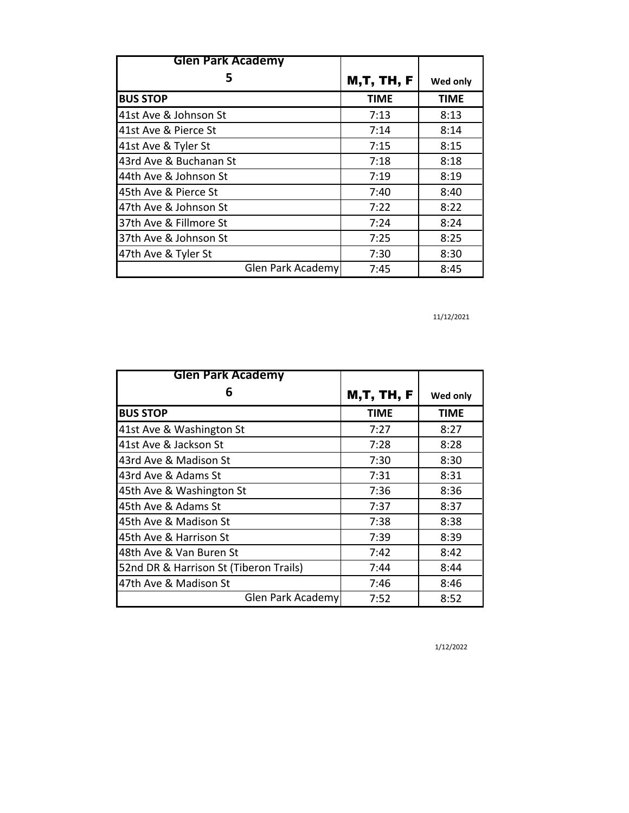| <b>Glen Park Academy</b> |                   |             |
|--------------------------|-------------------|-------------|
| 5                        | <b>M,T, TH, F</b> | Wed only    |
| <b>BUS STOP</b>          | <b>TIME</b>       | <b>TIME</b> |
| 41st Ave & Johnson St    | 7:13              | 8:13        |
| 41st Ave & Pierce St     | 7:14              | 8:14        |
| 41st Ave & Tyler St      | 7:15              | 8:15        |
| 43rd Ave & Buchanan St   | 7:18              | 8:18        |
| 44th Ave & Johnson St    | 7:19              | 8:19        |
| 45th Ave & Pierce St     | 7:40              | 8:40        |
| 47th Ave & Johnson St    | 7:22              | 8:22        |
| 37th Ave & Fillmore St   | 7:24              | 8:24        |
| 37th Ave & Johnson St    | 7:25              | 8:25        |
| 47th Ave & Tyler St      | 7:30              | 8:30        |
| Glen Park Academy        | 7:45              | 8:45        |

11/12/2021

| <b>Glen Park Academy</b>               |                   |             |
|----------------------------------------|-------------------|-------------|
| 6                                      | <b>M,T, TH, F</b> | Wed only    |
| <b>BUS STOP</b>                        | <b>TIME</b>       | <b>TIME</b> |
| 41st Ave & Washington St               | 7:27              | 8:27        |
| 41st Ave & Jackson St                  | 7:28              | 8:28        |
| 43rd Ave & Madison St                  | 7:30              | 8:30        |
| 43rd Ave & Adams St                    | 7:31              | 8:31        |
| 45th Ave & Washington St               | 7:36              | 8:36        |
| 45th Ave & Adams St                    | 7:37              | 8:37        |
| 45th Ave & Madison St                  | 7:38              | 8:38        |
| 45th Ave & Harrison St                 | 7:39              | 8:39        |
| 48th Ave & Van Buren St                | 7:42              | 8:42        |
| 52nd DR & Harrison St (Tiberon Trails) | 7:44              | 8:44        |
| 47th Ave & Madison St                  | 7:46              | 8:46        |
| Glen Park Academy                      | 7:52              | 8:52        |

1/12/2022